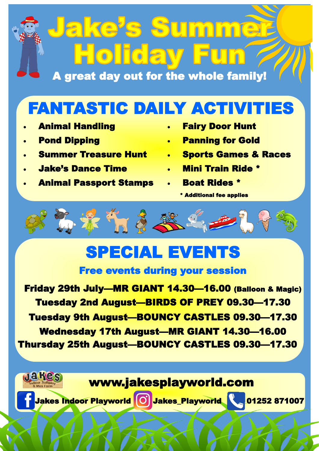# Jake<sup>,</sup>s Summer **Holiday F**

A great day out for the whole family!

# FANTASTIC DAILY ACTIVITIES

- Animal Handling
- Pond Dipping
- 
- Jake's Dance Time
- Animal Passport Stamps
- Fairy Door Hunt
- Panning for Gold
- Summer Treasure Hunt Sports Games & Races
	- Mini Train Ride \*
	- Boat Rides \*
		- \* Additional fee applies



### SPECIAL EVENTS

#### Free events during your session

Friday 29th July—MR GIANT 14.30—16.00 (Balloon & Magic) Tuesday 2nd August—BIRDS OF PREY 09.30—17.30 Tuesday 9th August—BOUNCY CASTLES 09.30—17.30 Wednesday 17th August—MR GIANT 14.30—16.00 Thursday 25th August—BOUNCY CASTLES 09.30—17.30

#### www.jakesplayworld.com

Jakes Indoor Playworld **OD** Jakes\_Playworld **1252 871007** 

JEKGS